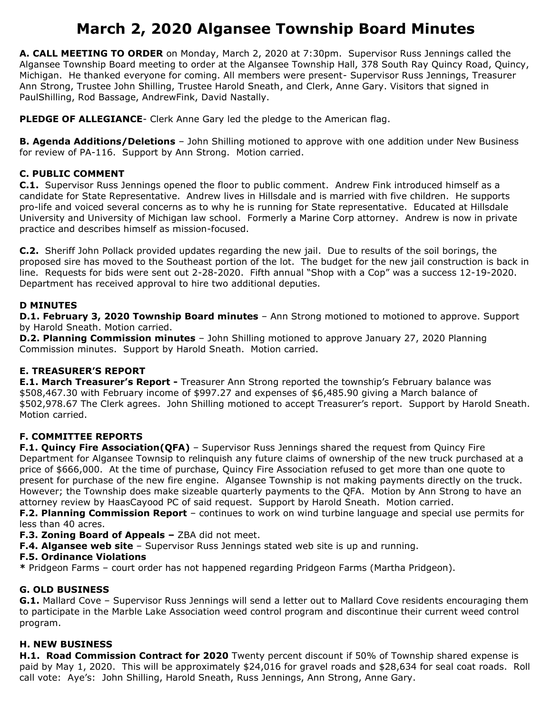# **March 2, 2020 Algansee Township Board Minutes**

**A. CALL MEETING TO ORDER** on Monday, March 2, 2020 at 7:30pm. Supervisor Russ Jennings called the Algansee Township Board meeting to order at the Algansee Township Hall, 378 South Ray Quincy Road, Quincy, Michigan. He thanked everyone for coming. All members were present- Supervisor Russ Jennings, Treasurer Ann Strong, Trustee John Shilling, Trustee Harold Sneath, and Clerk, Anne Gary. Visitors that signed in PaulShilling, Rod Bassage, AndrewFink, David Nastally.

**PLEDGE OF ALLEGIANCE**- Clerk Anne Gary led the pledge to the American flag.

**B. Agenda Additions/Deletions** – John Shilling motioned to approve with one addition under New Business for review of PA-116. Support by Ann Strong. Motion carried.

## **C. PUBLIC COMMENT**

**C.1.** Supervisor Russ Jennings opened the floor to public comment. Andrew Fink introduced himself as a candidate for State Representative. Andrew lives in Hillsdale and is married with five children. He supports pro-life and voiced several concerns as to why he is running for State representative. Educated at Hillsdale University and University of Michigan law school. Formerly a Marine Corp attorney. Andrew is now in private practice and describes himself as mission-focused.

**C.2.** Sheriff John Pollack provided updates regarding the new jail. Due to results of the soil borings, the proposed sire has moved to the Southeast portion of the lot. The budget for the new jail construction is back in line. Requests for bids were sent out 2-28-2020. Fifth annual "Shop with a Cop" was a success 12-19-2020. Department has received approval to hire two additional deputies.

## **D MINUTES**

**D.1. February 3, 2020 Township Board minutes** – Ann Strong motioned to motioned to approve. Support by Harold Sneath. Motion carried.

**D.2. Planning Commission minutes** – John Shilling motioned to approve January 27, 2020 Planning Commission minutes. Support by Harold Sneath. Motion carried.

## **E. TREASURER'S REPORT**

**E.1. March Treasurer's Report -** Treasurer Ann Strong reported the township's February balance was \$508,467.30 with February income of \$997.27 and expenses of \$6,485.90 giving a March balance of \$502,978.67 The Clerk agrees. John Shilling motioned to accept Treasurer's report. Support by Harold Sneath. Motion carried.

## **F. COMMITTEE REPORTS**

**F.1. Quincy Fire Association(QFA)** – Supervisor Russ Jennings shared the request from Quincy Fire Department for Algansee Townsip to relinquish any future claims of ownership of the new truck purchased at a price of \$666,000. At the time of purchase, Quincy Fire Association refused to get more than one quote to present for purchase of the new fire engine. Algansee Township is not making payments directly on the truck. However; the Township does make sizeable quarterly payments to the QFA. Motion by Ann Strong to have an attorney review by HaasCayood PC of said request. Support by Harold Sneath. Motion carried.

**F.2. Planning Commission Report** – continues to work on wind turbine language and special use permits for less than 40 acres.

**F.3. Zoning Board of Appeals –** ZBA did not meet.

**F.4. Algansee web site** – Supervisor Russ Jennings stated web site is up and running.

#### **F.5. Ordinance Violations**

**\*** Pridgeon Farms – court order has not happened regarding Pridgeon Farms (Martha Pridgeon).

## **G. OLD BUSINESS**

**G.1.** Mallard Cove – Supervisor Russ Jennings will send a letter out to Mallard Cove residents encouraging them to participate in the Marble Lake Association weed control program and discontinue their current weed control program.

## **H. NEW BUSINESS**

**H.1. Road Commission Contract for 2020** Twenty percent discount if 50% of Township shared expense is paid by May 1, 2020. This will be approximately \$24,016 for gravel roads and \$28,634 for seal coat roads. Roll call vote: Aye's: John Shilling, Harold Sneath, Russ Jennings, Ann Strong, Anne Gary.